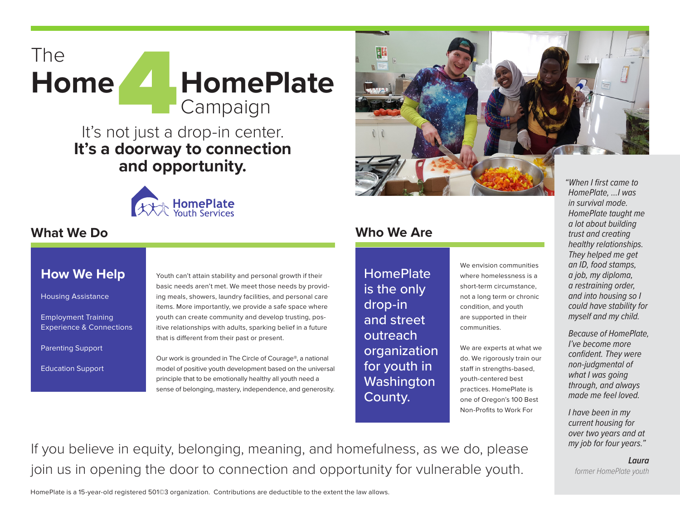

# It's not just a drop-in center. **It's a doorway to connection and opportunity.**



#### **What We Do**

#### **How We Help**

Housing Assistance

Employment Training Experience & Connections

Parenting Support

Education Support

Youth can't attain stability and personal growth if their basic needs aren't met. We meet those needs by providing meals, showers, laundry facilities, and personal care items. More importantly, we provide a safe space where youth can create community and develop trusting, positive relationships with adults, sparking belief in a future that is different from their past or present.

Our work is grounded in The Circle of Courage®, a national model of positive youth development based on the universal principle that to be emotionally healthy all youth need a sense of belonging, mastery, independence, and generosity.



## **Who We Are**

**HomePlate** is the only drop-in and street outreach organization for youth in **Washington** County.

We envision communities where homelessness is a short-term circumstance, not a long term or chronic condition, and youth are supported in their communities.

We are experts at what we do. We rigorously train our staff in strengths-based, youth-centered best practices. HomePlate is one of Oregon's 100 Best Non-Profits to Work For

*HomePlate, …I was in survival mode. HomePlate taught me a lot about building trust and creating healthy relationships. They helped me get an ID, food stamps, a job, my diploma, a restraining order, and into housing so I could have stability for myself and my child.*

*Because of HomePlate, I've become more confident. They were non-judgmental of what I was going through, and always made me feel loved.*

*I have been in my current housing for over two years and at my job for four years."*

*Laura former HomePlate youth*

If you believe in equity, belonging, meaning, and homefulness, as we do, please join us in opening the door to connection and opportunity for vulnerable youth.